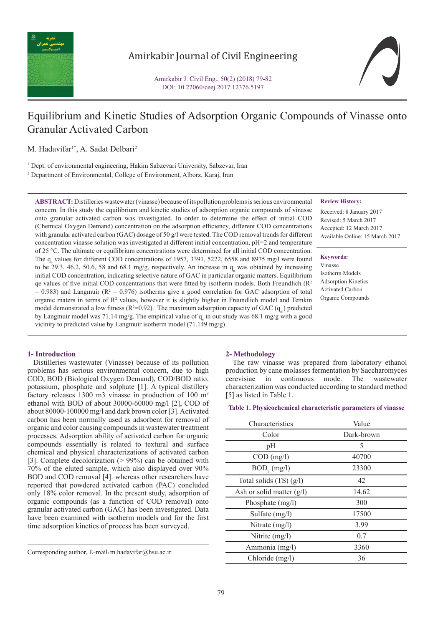

# Amirkabir Journal of Civil Engineering

Amirkabir J. Civil Eng., 50(2) (2018) 79-82 DOI: 10.22060/ceej.2017.12376.5197

# Equilibrium and Kinetic Studies of Adsorption Organic Compounds of Vinasse onto Granular Activated Carbon

M. Hadavifar<sup>1\*</sup>, A. Sadat Delbari<sup>2</sup>

<sup>1</sup> Dept. of environmental engineering, Hakim Sabzevari University, Sabzevar, Iran

2 Department of Environmental, College of Environment, Alborz, Karaj, Iran

**ABSTRACT:** Distilleries wastewater (vinasse) because of its pollution problems is serious environmental concern. In this study the equilibrium and kinetic studies of adsorption organic compounds of vinasse onto granular activated carbon was investigated. In order to determine the effect of initial COD (Chemical Oxygen Demand) concentration on the adsorption efficiency, different COD concentrations with granular activated carbon (GAC) dosage of 50 g/l were tested. The COD removal trends for different concentration vinasse solution was investigated at different initial concentration, pH=2 and temperature of 25 °C. The ultimate or equilibrium concentrations were determined for all initial COD concentration. The  $q_e$  values for different COD concentrations of 1957, 3391, 5222, 6558 and 8975 mg/l were found to be 29.3, 46.2, 50.6, 58 and 68.1 mg/g, respectively. An increase in  $q_e$  was obtained by increasing initial COD concentration, indicating selective nature of GAC in particular organic matters. Equilibrium qe values of five initial COD concentrations that were fitted by isotherm models. Both Freundlich ( $\mathbb{R}^2$ )  $= 0.983$ ) and Langmuir ( $R^2 = 0.976$ ) isotherms give a good correlation for GAC adsorption of total organic maters in terms of  $\mathbb{R}^2$  values, however it is slightly higher in Freundlich model and Temkin model demonstrated a low fitness ( $R^2=0.92$ ). The maximum adsorption capacity of GAC ( $q_m$ ) predicted by Langmuir model was 71.14 mg/g. The empirical value of  $q_e$  in our study was 68.1 mg/g with a good vicinity to predicted value by Langmuir isotherm model (71.149 mg/g).

### **Review History:**

Received: 8 January 2017 Revised: 5 March 2017 Accepted: 12 March 2017 Available Online: 15 March 2017

#### **Keywords:**

Vinasse Isotherm Models Adsorption Kinetics Activated Carbon Organic Compounds

# **1- Introduction**

 Distilleries wastewater (Vinasse) because of its pollution problems has serious environmental concern, due to high COD, BOD (Biological Oxygen Demand), COD/BOD ratio, potassium, phosphate and solphate [1]. A typical distillery factory releases 1300 m3 vinasse in production of 100 m<sup>3</sup> ethanol with BOD of about 30000-60000 mg/l [2], COD of about 80000-100000 mg/l and dark brown color [3]. Activated carbon has been normally used as adsorbent for removal of organic and color causing compounds in wastewater treatment processes. Adsorption ability of activated carbon for organic compounds essentially is related to textural and surface chemical and physical characterizations of activated carbon [3]. Complete decolorization (> 99%) can be obtained with 70% of the eluted sample, which also displayed over 90% BOD and COD removal [4]. whereas other researchers have reported that powdered activated carbon (PAC) concluded only 18% color removal. In the present study, adsorption of organic compounds (as a function of COD removal) onto granular activated carbon (GAC) has been investigated. Data have been examined with isotherm models and for the first time adsorption kinetics of process has been surveyed.

Corresponding author, E-mail: m.hadavifar@hsu.ac.ir

#### **2- Methodology**

 The raw vinasse was prepared from laboratory ethanol production by cane molasses fermentation by Saccharomyces cerevisiae in continuous mode. The wastewater characterization was conducted according to standard method [5] as listed in Table 1.

#### **Table 1. Physicochemical characteristic parameters of vinasse**

| Characteristics             | Value      |  |  |
|-----------------------------|------------|--|--|
| Color                       | Dark-brown |  |  |
| pH                          | 5          |  |  |
| $COD$ (mg/l)                | 40700      |  |  |
| $BOD_{\epsilon}$ (mg/l)     | 23300      |  |  |
| Total solids $(TS)(g/l)$    | 42         |  |  |
| Ash or solid matter $(g/l)$ | 14.62      |  |  |
| Phosphate (mg/l)            | 300        |  |  |
| Sulfate (mg/l)              | 17500      |  |  |
| Nitrate $(mg/l)$            | 3.99       |  |  |
| Nitrite (mg/l)              | 0.7        |  |  |
| Ammonia (mg/l)              | 3360       |  |  |
| Chloride (mg/l)             | 36         |  |  |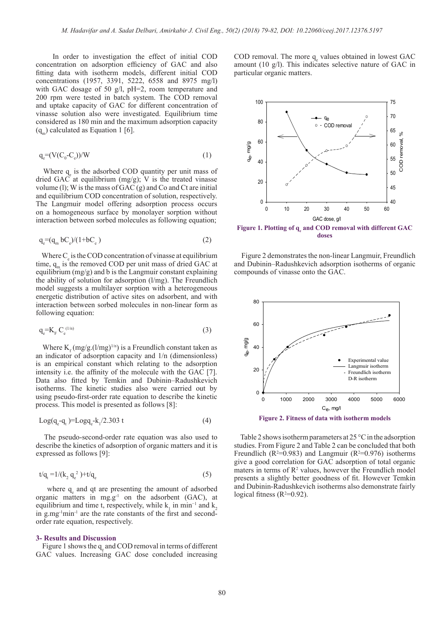In order to investigation the effect of initial COD concentration on adsorption efficiency of GAC and also fitting data with isotherm models, different initial COD concentrations (1957, 3391, 5222, 6558 and 8975 mg/l) with GAC dosage of 50 g/l, pH=2, room temperature and 200 rpm were tested in batch system. The COD removal and uptake capacity of GAC for different concentration of vinasse solution also were investigated. Equilibrium time considered as 180 min and the maximum adsorption capacity  $(q_m)$  calculated as Equation 1 [6].

$$
q_e = (V(C_0 - C_e))/W
$$
 (1)

Where  $q_e$  is the adsorbed COD quantity per unit mass of dried GAC at equilibrium  $(mg/g)$ ; V is the treated vinasse volume (1); W is the mass of GAC  $(g)$  and Co and Ct are initial and equilibrium COD concentration of solution, respectively. The Langmuir model offering adsorption process occurs on a homogeneous surface by monolayer sorption without interaction between sorbed molecules as following equation;

$$
q_e = (q_m bC_e)/(1 + bC_e)
$$
\n<sup>(2)</sup>

Where  $C_e$  is the COD concentration of vinasse at equilibrium time,  $q_m$  is the removed COD per unit mass of dried GAC at equilibrium (mg/g) and b is the Langmuir constant explaining the ability of solution for adsorption (l/mg). The Freundlich model suggests a multilayer sorption with a heterogeneous energetic distribution of active sites on adsorbent, and with interaction between sorbed molecules in non-linear form as following equation:

$$
q_e = K_F C_e^{(1/n)}
$$
 (3)

Where  $K_f$  (mg/g.(l/mg)<sup>1/n</sup>) is a Freundlich constant taken as an indicator of adsorption capacity and 1/n (dimensionless) is an empirical constant which relating to the adsorption intensity i.e. the affinity of the molecule with the GAC [7]. Data also fitted by Temkin and Dubinin–Radushkevich isotherms. The kinetic studies also were carried out by using pseudo-first-order rate equation to describe the kinetic process. This model is presented as follows [8]:

$$
Log(q_e - q_t) = Logq_e - k_1/2.303 t
$$
\n
$$
\tag{4}
$$

 The pseudo-second-order rate equation was also used to describe the kinetics of adsorption of organic matters and it is expressed as follows [9]:

$$
t/q_{t} = 1/(k_{2} q_{e}^{2}) + t/q_{e}
$$
\n(5)

where  $q_e$  and qt are presenting the amount of adsorbed organic matters in  $mg.g^{-1}$  on the adsorbent (GAC), at equilibrium and time t, respectively, while  $k_1$  in min<sup>-1</sup> and  $k_2$ in g mg<sup>-1</sup>min<sup>-1</sup> are the rate constants of the first and secondorder rate equation, respectively.

#### **3- Results and Discussion**

Figure 1 shows the  $q_e$  and COD removal in terms of different GAC values. Increasing GAC dose concluded increasing

 $\text{COD}$  removal. The more  $q_e$  values obtained in lowest GAC amount (10 g/l). This indicates selective nature of GAC in particular organic matters.



Figure 1. Plotting of  $q_e$  and COD removal with different GAC **doses**

 Figure 2 demonstrates the non-linear Langmuir, Freundlich and Dubinin–Radushkevich adsorption isotherms of organic compounds of vinasse onto the GAC.



**Figure 2. Fitness of data with isotherm models**

 Table 2 shows isotherm parameters at 25 °C in the adsorption studies. From Figure 2 and Table 2 can be concluded that both Freundlich ( $R^2=0.983$ ) and Langmuir ( $R^2=0.976$ ) isotherms give a good correlation for GAC adsorption of total organic maters in terms of  $\mathbb{R}^2$  values, however the Freundlich model presents a slightly better goodness of fit. However Temkin and Dubinin-Radushkevich isotherms also demonstrate fairly logical fitness  $(R^2=0.92)$ .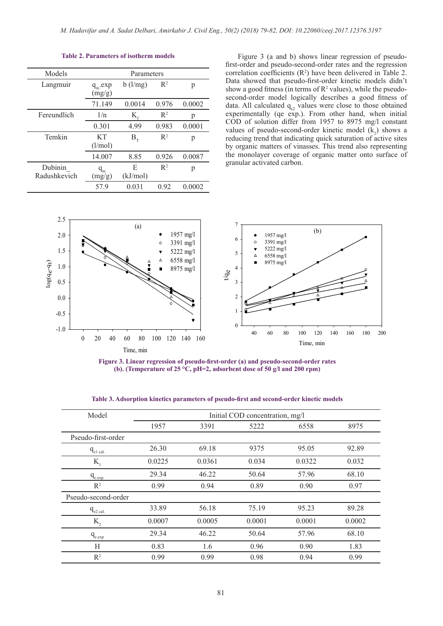| Models                  | Parameters                 |               |                |        |  |
|-------------------------|----------------------------|---------------|----------------|--------|--|
| Langmuir                | $q_{\rm m}$ .exp<br>(mg/g) | $b$ (l/mg)    | $R^2$          | p      |  |
|                         | 71.149                     | 0.0014        | 0.976          | 0.0002 |  |
| Fereundlich             | 1/n                        | K,            | $R^2$          | р      |  |
|                         | 0.301                      | 4.99          | 0.983          | 0.0001 |  |
| Temkin                  | KТ<br>(l/mol)              | $B_{\tau}$    | $\mathbb{R}^2$ | p      |  |
|                         | 14.007                     | 8.85          | 0.926          | 0.0087 |  |
| Dubinin<br>Radushkevich | $q_{m}$<br>(mg/g)          | E<br>(kJ/mol) | $R^2$          | р      |  |
|                         | 57.9                       | 0.031         | 0.92           | 0.0002 |  |

# **Table 2. Parameters of isotherm models**

 Figure 3 (a and b) shows linear regression of pseudofirst-order and pseudo-second-order rates and the regression correlation coefficients  $(R^2)$  have been delivered in Table 2. Data showed that pseudo-first-order kinetic models didn't show a good fitness (in terms of  $\mathbb{R}^2$  values), while the pseudosecond-order model logically describes a good fitness of data. All calculated  $q_{e2}$  values were close to those obtained experimentally (qe exp.). From other hand, when initial COD of solution differ from 1957 to 8975 mg/l constant values of pseudo-second-order kinetic model  $(k_2)$  shows a reducing trend that indicating quick saturation of active sites by organic matters of vinasses. This trend also representing the monolayer coverage of organic matter onto surface of granular activated carbon.



**Figure 3. Linear regression of pseudo-first-order (a) and pseudo-second-order rates (b). (Temperature of 25 °C, pH=2, adsorbent dose of 50 g/l and 200 rpm)**

| Model               |        | Initial COD concentration, mg/l |        |        |        |  |  |
|---------------------|--------|---------------------------------|--------|--------|--------|--|--|
|                     | 1957   | 3391                            | 5222   | 6558   | 8975   |  |  |
| Pseudo-first-order  |        |                                 |        |        |        |  |  |
| $q_{el \, cal.}$    | 26.30  | 69.18                           | 9375   | 95.05  | 92.89  |  |  |
| $K_{i}$             | 0.0225 | 0.0361                          | 0.034  | 0.0322 | 0.032  |  |  |
| $q_{e, exp}$        | 29.34  | 46.22                           | 50.64  | 57.96  | 68.10  |  |  |
| $R^2$               | 0.99   | 0.94                            | 0.89   | 0.90   | 0.97   |  |  |
| Pseudo-second-order |        |                                 |        |        |        |  |  |
| $q_{e2}$ cal.       | 33.89  | 56.18                           | 75.19  | 95.23  | 89.28  |  |  |
| $K_{2}$             | 0.0007 | 0.0005                          | 0.0001 | 0.0001 | 0.0002 |  |  |
| $q_{e, exp}$        | 29.34  | 46.22                           | 50.64  | 57.96  | 68.10  |  |  |
| H                   | 0.83   | 1.6                             | 0.96   | 0.90   | 1.83   |  |  |
| $R^2$               | 0.99   | 0.99                            | 0.98   | 0.94   | 0.99   |  |  |

**Table 3. Adsorption kinetics parameters of pseudo-first and second-order kinetic models**